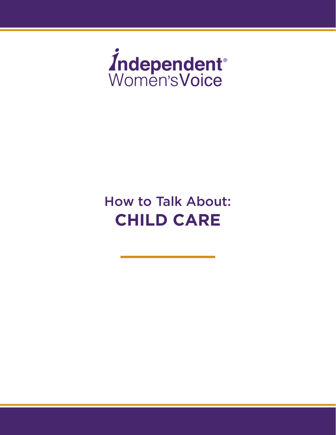

# How to Talk About: **CHILD CARE**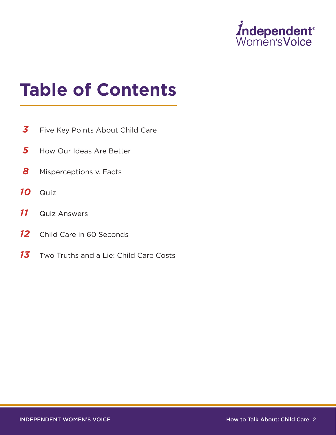

# **Table of Contents**

- **3** Five Key Points About Child Care
- 5 How Our Ideas Are Better
- **8** Misperceptions v. Facts
- *10* Quiz
- *11* Quiz Answers
- 12 Child Care in 60 Seconds
- 13 Two Truths and a Lie: Child Care Costs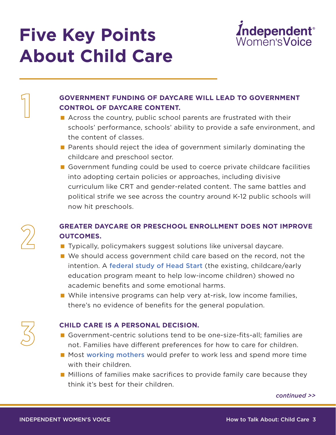# **Five Key Points About Child Care**



### **GOVERNMENT FUNDING OF DAYCARE WILL LEAD TO GOVERNMENT CONTROL OF DAYCARE CONTENT.**

- Across the country, public school parents are frustrated with their schools' performance, schools' ability to provide a safe environment, and the content of classes.
- **Parents should reject the idea of government similarly dominating the** childcare and preschool sector.
- Government funding could be used to coerce private childcare facilities into adopting certain policies or approaches, including divisive curriculum like CRT and gender-related content. The same battles and political strife we see across the country around K-12 public schools will now hit preschools.

# **GREATER DAYCARE OR PRESCHOOL ENROLLMENT DOES NOT IMPROVE OUTCOMES.**

- **Typically, policymakers suggest solutions like universal daycare.**
- **Notally** We should access government child care based on the record, not the intention. A [federal study of Head Start](https://www.heritage.org/education/report/head-start-earns-f-no-lasting-impact-children-first-grade) (the existing, childcare/early education program meant to help low-income children) showed no academic benefits and some emotional harms.
- **N** While intensive programs can help very at-risk, low income families, there's no evidence of benefits for the general population.

#### **CHILD CARE IS A PERSONAL DECISION.**

- Government-centric solutions tend to be one-size-fits-all; families are not. Families have different preferences for how to care for children.
- Most [working mothers](https://slate.com/human-interest/2016/10/the-majority-of-working-mothers-would-rather-stay-home-instead-wonder-why.html) would prefer to work less and spend more time with their children.
- **Millions of families make sacrifices to provide family care because they** think it's best for their children.

*continued >>*



**3**

**1**

#### INDEPENDENT WOMEN'S VOICE THE RESERVE HOW TO TAIL About: Child Care 3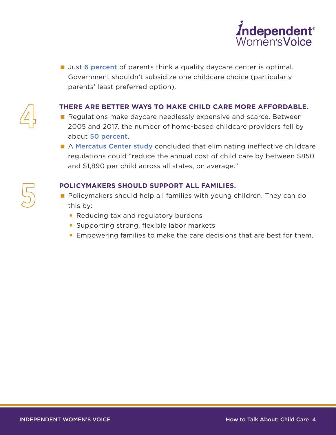

**Just [6 percent](https://files.eric.ed.gov/fulltext/ED482761.pdf)** of parents think a quality daycare center is optimal. Government shouldn't subsidize one childcare choice (particularly parents' least preferred option).

#### **THERE ARE BETTER WAYS TO MAKE CHILD CARE MORE AFFORDABLE.**

- Regulations make daycare needlessly expensive and scarce. Between 2005 and 2017, the number of home-based childcare providers fell by about [50 percent](https://www.whitehouse.gov/briefings-statements/white-house-principles-child-care-reform-increasing-access-affordable-high-quality-child-care-america/).
- A [Mercatus Center study](https://www.mercatus.org/publication/regulation-and-cost-child-care) concluded that eliminating ineffective childcare regulations could "reduce the annual cost of child care by between \$850 and \$1,890 per child across all states, on average."

#### **POLICYMAKERS SHOULD SUPPORT ALL FAMILIES.**

- **Policymakers should help all families with young children. They can do** this by:
	- Reducing tax and regulatory burdens
	- Supporting strong, flexible labor markets
	- Empowering families to make the care decisions that are best for them.



**5**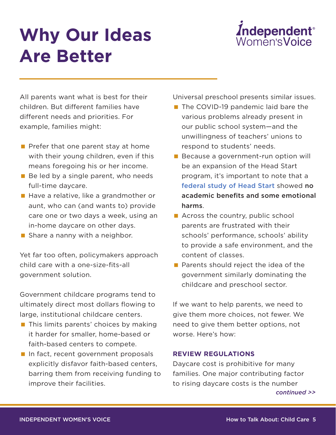# **Why Our Ideas Are Better**



All parents want what is best for their children. But different families have different needs and priorities. For example, families might:

- $\blacksquare$  Prefer that one parent stay at home with their young children, even if this means foregoing his or her income.
- $\blacksquare$  Be led by a single parent, who needs full-time daycare.
- Have a relative, like a grandmother or aunt, who can (and wants to) provide care one or two days a week, using an in-home daycare on other days.
- Share a nanny with a neighbor.

Yet far too often, policymakers approach child care with a one-size-fits-all government solution.

Government childcare programs tend to ultimately direct most dollars flowing to large, institutional childcare centers.

- **This limits parents' choices by making** it harder for smaller, home-based or faith-based centers to compete.
- In fact, recent government proposals explicitly disfavor faith-based centers, barring them from receiving funding to improve their facilities.

Universal preschool presents similar issues.

- The COVID-19 pandemic laid bare the various problems already present in our public school system—and the unwillingness of teachers' unions to respond to students' needs.
- Because a government-run option will be an expansion of the Head Start program, it's important to note that a [federal study of Head Start](https://www.heritage.org/education/report/head-start-earns-f-no-lasting-impact-children-first-grade) showed no academic benefits and some emotional harms.
- Across the country, public school parents are frustrated with their schools' performance, schools' ability to provide a safe environment, and the content of classes.
- **Parents should reject the idea of the** government similarly dominating the childcare and preschool sector.

If we want to help parents, we need to give them more choices, not fewer. We need to give them better options, not worse. Here's how:

#### **REVIEW REGULATIONS**

Daycare cost is prohibitive for many families. One major contributing factor to rising daycare costs is the number *continued >>*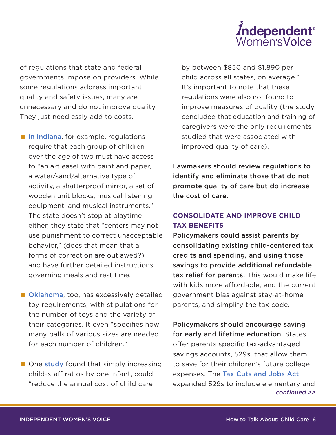

of regulations that state and federal governments impose on providers. While some regulations address important quality and safety issues, many are unnecessary and do not improve quality. They just needlessly add to costs.

- [In Indiana](https://www.heritage.org/sites/default/files/2020-09/BG3526.pdf), for example, regulations require that each group of children over the age of two must have access to "an art easel with paint and paper, a water/sand/alternative type of activity, a shatterproof mirror, a set of wooden unit blocks, musical listening equipment, and musical instruments." The state doesn't stop at playtime either, they state that "centers may not use punishment to correct unacceptable behavior," (does that mean that all forms of correction are outlawed?) and have further detailed instructions governing meals and rest time.
- **[Oklahoma](https://www.heritage.org/sites/default/files/2020-09/BG3526.pdf)**, too, has excessively detailed toy requirements, with stipulations for the number of toys and the variety of their categories. It even "specifies how many balls of various sizes are needed for each number of children."
- One [study](https://www.mercatus.org/publication/regulation-and-cost-child-care) found that simply increasing child-staff ratios by one infant, could "reduce the annual cost of child care

by between \$850 and \$1,890 per child across all states, on average." It's important to note that these regulations were also not found to improve measures of quality (the study concluded that education and training of caregivers were the only requirements studied that were associated with improved quality of care).

Lawmakers should review regulations to identify and eliminate those that do not promote quality of care but do increase the cost of care.

### **CONSOLIDATE AND IMPROVE CHILD TAX BENEFITS**

Policymakers could assist parents by consolidating existing child-centered tax credits and spending, and using those savings to provide additional refundable tax relief for parents. This would make life with kids more affordable, end the current government bias against stay-at-home parents, and simplify the tax code.

Policymakers should encourage saving for early and lifetime education. States offer parents specific tax-advantaged savings accounts, 529s, that allow them to save for their children's future college expenses. The [Tax Cuts and Jobs Act](https://www.irs.gov/pub/irs-drop/n-18-58.pdf) expanded 529s to include elementary and *continued >>*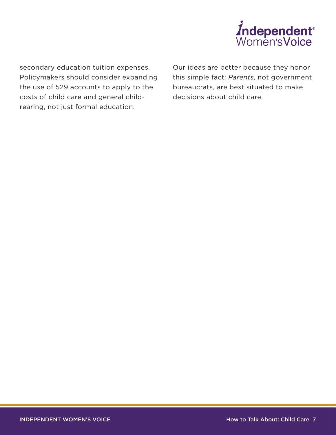

secondary education tuition expenses. Policymakers should consider expanding the use of 529 accounts to apply to the costs of child care and general childrearing, not just formal education.

Our ideas are better because they honor this simple fact: *Parents*, not government bureaucrats, are best situated to make decisions about child care.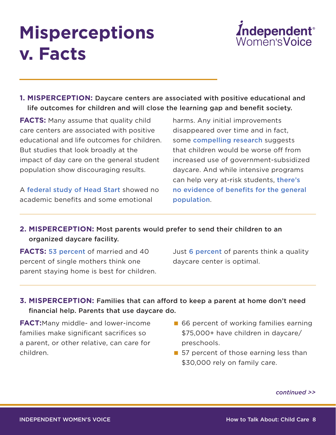# **Misperceptions v. Facts**



**1. MISPERCEPTION:** Daycare centers are associated with positive educational and life outcomes for children and will close the learning gap and benefit society.

**FACTS:** Many assume that quality child care centers are associated with positive educational and life outcomes for children. But studies that look broadly at the impact of day care on the general student population show discouraging results.

A [federal study of Head Start](https://www.heritage.org/education/report/head-start-earns-f-no-lasting-impact-children-first-grade) showed no academic benefits and some emotional

harms. Any initial improvements disappeared over time and in fact, some [compelling research](https://www.nationalaffairs.com/publications/detail/the-uncomfortable-truth-about-daycare) suggests that children would be worse off from increased use of government-subsidized daycare. And while intensive programs can help very at-risk students, [there's](https://www.iwf.org/2021/07/06/two-truths-and-a-lie-the-return-on-investment-of-governments-childcare-subsidies/)  [no evidence of benefits for the general](https://www.iwf.org/2021/07/06/two-truths-and-a-lie-the-return-on-investment-of-governments-childcare-subsidies/)  [population](https://www.iwf.org/2021/07/06/two-truths-and-a-lie-the-return-on-investment-of-governments-childcare-subsidies/).

# **2. MISPERCEPTION:** Most parents would prefer to send their children to an organized daycare facility.

**FACTS: [53 percent](https://americancompass.org/wp-content/uploads/2021/03/American-Compass_2021-Home-Building-Survey_Final.pdf) of married and 40** percent of single mothers think one parent staying home is best for children. Just [6 percent](http://eric.ed.gov/?id=ED445786) of parents think a quality daycare center is optimal.

# **3. MISPERCEPTION:** Families that can afford to keep a parent at home don't need financial help. Parents that use daycare do.

**FACT:**Many middle- and lower-income families make significant sacrifices so a parent, or other relative, can care for children.

- 66 percent of working families earning \$75,000+ have children in daycare/ preschools.
- 57 percent of those earning less than \$30,000 rely on family care.

*continued >>*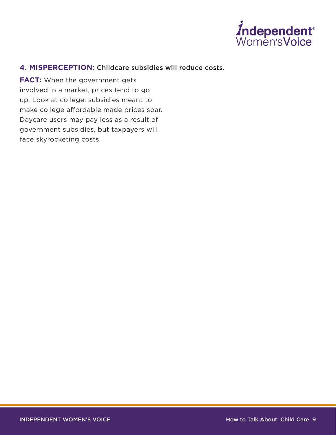

#### **4. MISPERCEPTION:** Childcare subsidies will reduce costs.

**FACT:** When the government gets involved in a market, prices tend to go up. Look at college: subsidies meant to make college affordable made prices soar. Daycare users may pay less as a result of government subsidies, but taxpayers will face skyrocketing costs.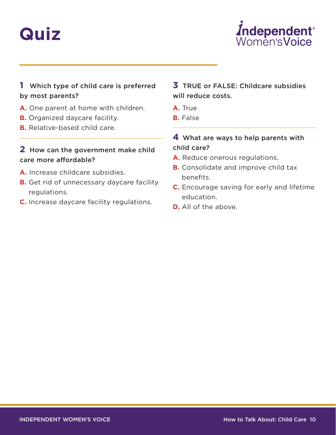# **Quiz**



# **1** Which type of child care is preferred by most parents?

- **A.** One parent at home with children.
- **B.** Organized daycare facility.
- **B.** Relative-based child care.

### **2** How can the government make child care more affordable?

- **A.** Increase childcare subsidies.
- **B.** Get rid of unnecessary daycare facility regulations.
- **C.** Increase daycare facility regulations.

### **3** TRUE or FALSE: Childcare subsidies will reduce costs.

- **A.** True
- **B.** False

# **4** What are ways to help parents with child care?

- A. Reduce onerous regulations.
- **B.** Consolidate and improve child tax benefits.
- **C.** Encourage saving for early and lifetime education.
- **D.** All of the above.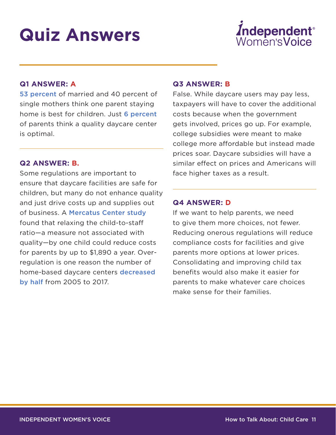# **Quiz Answers**



#### **Q1 ANSWER: A**

[53 percent](https://americancompass.org/wp-content/uploads/2021/03/American-Compass_2021-Home-Building-Survey_Final.pdf) of married and 40 percent of single mothers think one parent staying home is best for children. Just [6 percent](http://eric.ed.gov/?id=ED445786) of parents think a quality daycare center is optimal.

#### **Q2 ANSWER: B.**

Some regulations are important to ensure that daycare facilities are safe for children, but many do not enhance quality and just drive costs up and supplies out of business. A [Mercatus Center study](https://www.mercatus.org/publication/regulation-and-cost-child-care)  found that relaxing the child-to-staff ratio—a measure not associated with quality—by one child could reduce costs for parents by up to \$1,890 a year. Overregulation is one reason the number of home-based daycare centers decreased [by half](https://trumpwhitehouse.archives.gov/briefings-statements/white-house-principles-child-care-reform-increasing-access-affordable-high-quality-child-care-america/) from 2005 to 2017.

#### **Q3 ANSWER: B**

False. While daycare users may pay less, taxpayers will have to cover the additional costs because when the government gets involved, prices go up. For example, college subsidies were meant to make college more affordable but instead made prices soar. Daycare subsidies will have a similar effect on prices and Americans will face higher taxes as a result.

#### **Q4 ANSWER: D**

If we want to help parents, we need to give them more choices, not fewer. Reducing onerous regulations will reduce compliance costs for facilities and give parents more options at lower prices. Consolidating and improving child tax benefits would also make it easier for parents to make whatever care choices make sense for their families.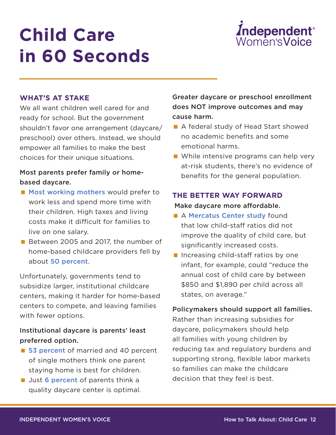# **Child Care in 60 Seconds**



#### **WHAT'S AT STAKE**

We all want children well cared for and ready for school. But the government shouldn't favor one arrangement (daycare/ preschool) over others. Instead, we should empower all families to make the best choices for their unique situations.

### Most parents prefer family or homebased daycare.

- **[Most working mothers](https://slate.com/human-interest/2016/10/the-majority-of-working-mothers-would-rather-stay-home-instead-wonder-why.html) would prefer to** work less and spend more time with their children. High taxes and living costs make it difficult for families to live on one salary.
- Between 2005 and 2017, the number of home-based childcare providers fell by about [50 percent](https://www.whitehouse.gov/briefings-statements/white-house-principles-child-care-reform-increasing-access-affordable-high-quality-child-care-america/).

Unfortunately, governments tend to subsidize larger, institutional childcare centers, making it harder for home-based centers to compete, and leaving families with fewer options.

### Institutional daycare is parents' least preferred option.

- [53 percent](https://americancompass.org/wp-content/uploads/2021/03/American-Compass_2021-Home-Building-Survey_Final.pdf) of married and 40 percent of single mothers think one parent staying home is best for children.
- Uust [6 percent](http://eric.ed.gov/?id=ED445786) of parents think a quality daycare center is optimal.

Greater daycare or preschool enrollment does NOT improve outcomes and may cause harm.

- A federal study of Head Start showed no academic benefits and some emotional harms.
- While intensive programs can help very at-risk students, there's no evidence of benefits for the general population.

### **THE BETTER WAY FORWARD** Make daycare more affordable.

- A [Mercatus Center study](https://www.mercatus.org/publications/regulation/regulation-and-cost-child-care) found that low child-staff ratios did not improve the quality of child care, but significantly increased costs.
- I Increasing child-staff ratios by one infant, for example, could "reduce the annual cost of child care by between \$850 and \$1,890 per child across all states, on average."

#### Policymakers should support all families.

Rather than increasing subsidies for daycare, policymakers should help all families with young children by reducing tax and regulatory burdens and supporting strong, flexible labor markets so families can make the childcare decision that they feel is best.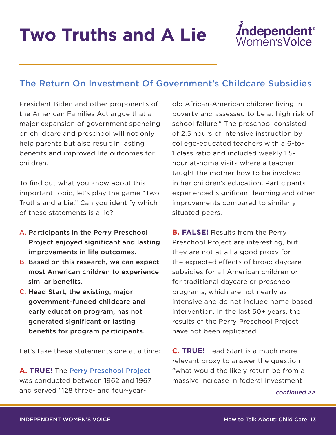# **Two Truths and A Lie**



# The Return On Investment Of Government's Childcare Subsidies

President Biden and other proponents of the American Families Act argue that a major expansion of government spending on childcare and preschool will not only help parents but also result in lasting benefits and improved life outcomes for children.

To find out what you know about this important topic, let's play the game "Two Truths and a Lie." Can you identify which of these statements is a lie?

- A. Participants in the Perry Preschool Project enjoyed significant and lasting improvements in life outcomes.
- B. Based on this research, we can expect most American children to experience similar benefits.
- C. Head Start, the existing, major government-funded childcare and early education program, has not generated significant or lasting benefits for program participants.

Let's take these statements one at a time:

**A. TRUE!** The [Perry Preschool Project](https://evidencebasedprograms.org/programs/perry-preschool-project/) was conducted between 1962 and 1967 and served "128 three- and four-yearold African-American children living in poverty and assessed to be at high risk of school failure." The preschool consisted of 2.5 hours of intensive instruction by college-educated teachers with a 6-to-1 class ratio and included weekly 1.5 hour at-home visits where a teacher taught the mother how to be involved in her children's education. Participants experienced significant learning and other improvements compared to similarly situated peers.

**B. FALSE!** Results from the Perry Preschool Project are interesting, but they are not at all a good proxy for the expected effects of broad daycare subsidies for all American children or for traditional daycare or preschool programs, which are not nearly as intensive and do not include home-based intervention. In the last 50+ years, the results of the Perry Preschool Project have not been replicated.

**C. TRUE!** Head Start is a much more relevant proxy to answer the question "what would the likely return be from a massive increase in federal investment

*continued >>*